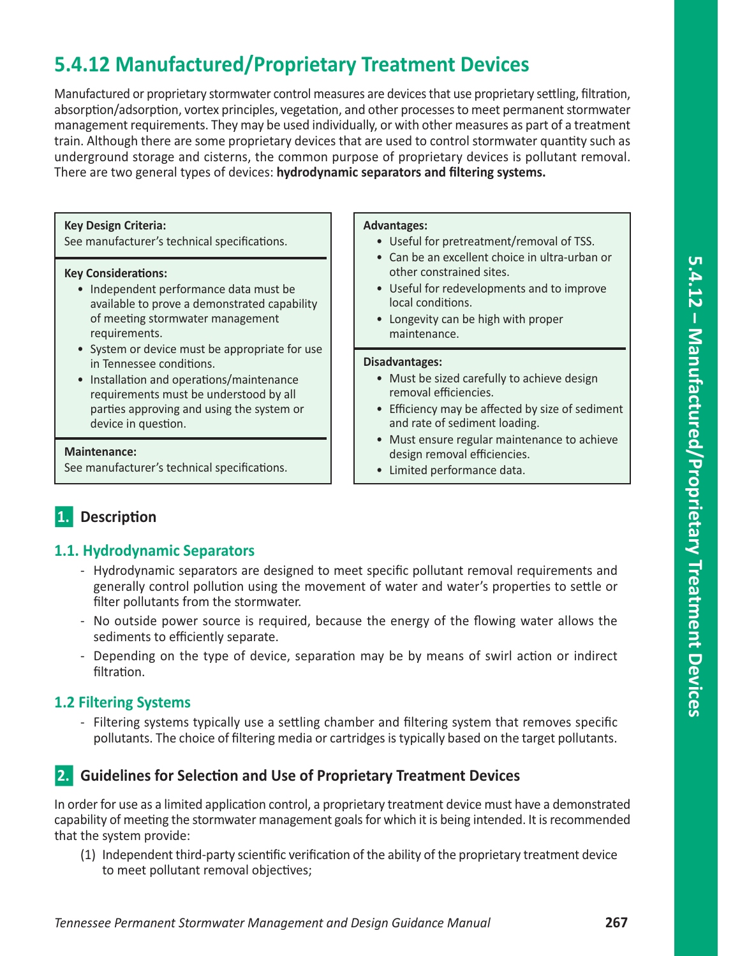# **5.4.12 Manufactured/Proprietary Treatment Devices**

Manufactured or proprietary stormwater control measures are devices that use proprietary settling, filtration, absorption/adsorption, vortex principles, vegetation, and other processes to meet permanent stormwater management requirements. They may be used individually, or with other measures as part of a treatment train. Although there are some proprietary devices that are used to control stormwater quantity such as underground storage and cisterns, the common purpose of proprietary devices is pollutant removal. There are two general types of devices: **hydrodynamic separators and filtering systems.** 

### **Key Design Criteria:**

See manufacturer's technical specifications.

### **Key Considerations:**

- Independent performance data must be available to prove a demonstrated capability of meeting stormwater management requirements.
- System or device must be appropriate for use in Tennessee conditions.
- Installation and operations/maintenance requirements must be understood by all parties approving and using the system or device in question.

### **Maintenance:**

See manufacturer's technical specifications.

#### **Advantages:**

- Useful for pretreatment/removal of TSS.
- Can be an excellent choice in ultra-urban or other constrained sites.
- Useful for redevelopments and to improve local conditions.
- Longevity can be high with proper maintenance.

#### **Disadvantages:**

- Must be sized carefully to achieve design removal efficiencies.
- Efficiency may be affected by size of sediment and rate of sediment loading.
- Must ensure regular maintenance to achieve design removal efficiencies.
- Limited performance data.

## n**1. Description**

### **1.1. Hydrodynamic Separators**

- Hydrodynamic separators are designed to meet specific pollutant removal requirements and generally control pollution using the movement of water and water's properties to settle or filter pollutants from the stormwater.
- No outside power source is required, because the energy of the flowing water allows the sediments to efficiently separate.
- Depending on the type of device, separation may be by means of swirl action or indirect filtration.

## **1.2 Filtering Systems**

- Filtering systems typically use a settling chamber and filtering system that removes specific pollutants. The choice of filtering media or cartridges is typically based on the target pollutants.

## **2.** Guidelines for Selection and Use of Proprietary Treatment Devices

In order for use as a limited application control, a proprietary treatment device must have a demonstrated capability of meeting the stormwater management goals for which it is being intended. It is recommended that the system provide:

(1) Independent third-party scientific verification of the ability of the proprietary treatment device to meet pollutant removal objectives;